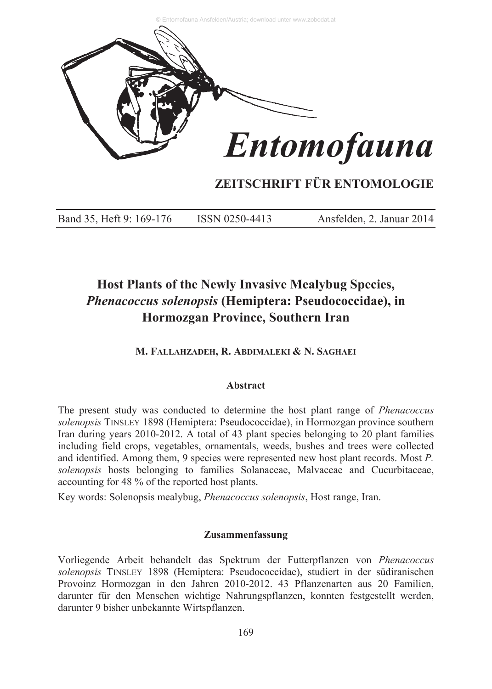

# **ZEITSCHRIFT FÜR ENTOMOLOGIE**

Band 35, Heft 9: 169-176 ISSN 0250-4413 Ansfelden, 2. Januar 2014

# **Host Plants of the Newly Invasive Mealybug Species,** *Phenacoccus solenopsis* **(Hemiptera: Pseudococcidae), in Hormozgan Province, Southern Iran**

**M. FALLAHZADEH, R. ABDIMALEKI & N. SAGHAEI**

## **Abstract**

The present study was conducted to determine the host plant range of *Phenacoccus solenopsis* TINSLEY 1898 (Hemiptera: Pseudococcidae), in Hormozgan province southern Iran during years 2010-2012. A total of 43 plant species belonging to 20 plant families including field crops, vegetables, ornamentals, weeds, bushes and trees were collected and identified. Among them, 9 species were represented new host plant records. Most *P. solenopsis* hosts belonging to families Solanaceae, Malvaceae and Cucurbitaceae, accounting for 48 % of the reported host plants.

Key words: Solenopsis mealybug, *Phenacoccus solenopsis*, Host range, Iran.

## **Zusammenfassung**

Vorliegende Arbeit behandelt das Spektrum der Futterpflanzen von *Phenacoccus solenopsis* TINSLEY 1898 (Hemiptera: Pseudococcidae), studiert in der südiranischen Provoinz Hormozgan in den Jahren 2010-2012. 43 Pflanzenarten aus 20 Familien, darunter für den Menschen wichtige Nahrungspflanzen, konnten festgestellt werden, darunter 9 bisher unbekannte Wirtspflanzen.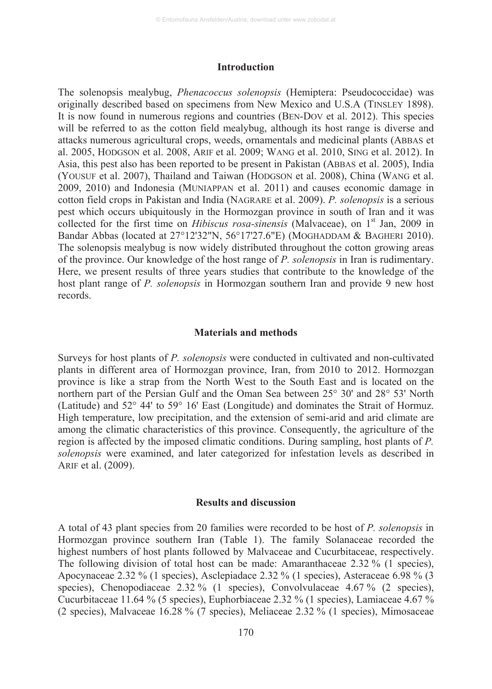#### **Introduction**

The solenopsis mealybug, *Phenacoccus solenopsis* (Hemiptera: Pseudococcidae) was originally described based on specimens from New Mexico and U.S.A (TINSLEY 1898). It is now found in numerous regions and countries (BEN-DOV et al. 2012). This species will be referred to as the cotton field mealybug, although its host range is diverse and attacks numerous agricultural crops, weeds, ornamentals and medicinal plants (ABBAS et al. 2005, HODGSON et al. 2008, ARIF et al. 2009; WANG et al. 2010, SING et al. 2012). In Asia, this pest also has been reported to be present in Pakistan (ABBAS et al. 2005), India (YOUSUF et al. 2007), Thailand and Taiwan (HODGSON et al. 2008), China (WANG et al. 2009, 2010) and Indonesia (MUNIAPPAN et al. 2011) and causes economic damage in cotton field crops in Pakistan and India (NAGRARE et al. 2009). *P. solenopsis* is a serious pest which occurs ubiquitously in the Hormozgan province in south of Iran and it was collected for the first time on *Hibiscus rosa-sinensis* (Malvaceae), on 1<sup>st</sup> Jan, 2009 in Bandar Abbas (located at 27°12'32"N, 56°17'27.6"E) (MOGHADDAM & BAGHERI 2010). The solenopsis mealybug is now widely distributed throughout the cotton growing areas of the province. Our knowledge of the host range of *P. solenopsis* in Iran is rudimentary. Here, we present results of three years studies that contribute to the knowledge of the host plant range of *P. solenopsis* in Hormozgan southern Iran and provide 9 new host records.

#### **Materials and methods**

Surveys for host plants of *P. solenopsis* were conducted in cultivated and non-cultivated plants in different area of Hormozgan province, Iran, from 2010 to 2012. Hormozgan province is like a strap from the North West to the South East and is located on the northern part of the Persian Gulf and the Oman Sea between 25° 30' and 28° 53' North (Latitude) and 52° 44' to 59° 16' East (Longitude) and dominates the Strait of Hormuz. High temperature, low precipitation, and the extension of semi-arid and arid climate are among the climatic characteristics of this province. Consequently, the agriculture of the region is affected by the imposed climatic conditions. During sampling, host plants of *P. solenopsis* were examined, and later categorized for infestation levels as described in ARIF et al. (2009).

#### **Results and discussion**

A total of 43 plant species from 20 families were recorded to be host of *P. solenopsis* in Hormozgan province southern Iran (Table 1). The family Solanaceae recorded the highest numbers of host plants followed by Malvaceae and Cucurbitaceae, respectively. The following division of total host can be made: Amaranthaceae 2.32 % (1 species), Apocynaceae 2.32 % (1 species), Asclepiadace 2.32 % (1 species), Asteraceae 6.98 % (3 species), Chenopodiaceae 2.32 % (1 species), Convolvulaceae 4.67 % (2 species), Cucurbitaceae 11.64 % (5 species), Euphorbiaceae 2.32 % (1 species), Lamiaceae 4.67 % (2 species), Malvaceae 16.28 % (7 species), Meliaceae 2.32 % (1 species), Mimosaceae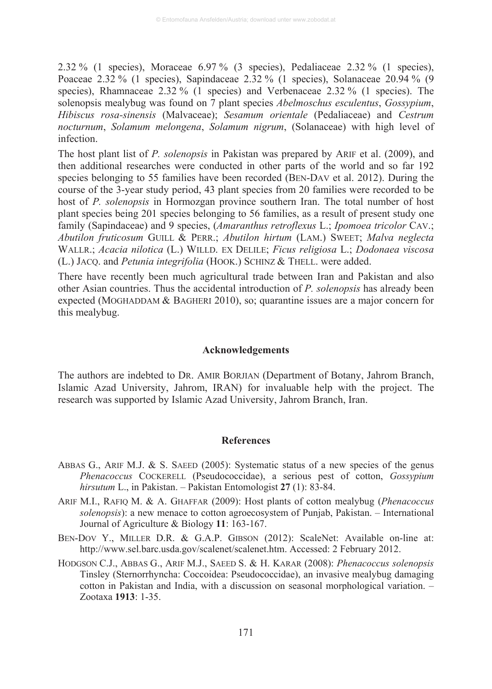2.32 % (1 species), Moraceae  $6.97\%$  (3 species), Pedaliaceae 2.32 % (1 species), Poaceae 2.32 % (1 species), Sapindaceae 2.32 % (1 species), Solanaceae 20.94 % (9 species), Rhamnaceae 2.32 % (1 species) and Verbenaceae 2.32 % (1 species). The solenopsis mealybug was found on 7 plant species *Abelmoschus esculentus*, *Gossypium*, *Hibiscus rosa-sinensis* (Malvaceae); *Sesamum orientale* (Pedaliaceae) and *Cestrum nocturnum*, *Solamum melongena*, *Solamum nigrum*, (Solanaceae) with high level of infection.

The host plant list of *P. solenopsis* in Pakistan was prepared by ARIF et al. (2009), and then additional researches were conducted in other parts of the world and so far 192 species belonging to 55 families have been recorded (BEN-DAV et al. 2012). During the course of the 3-year study period, 43 plant species from 20 families were recorded to be host of *P. solenopsis* in Hormozgan province southern Iran. The total number of host plant species being 201 species belonging to 56 families, as a result of present study one family (Sapindaceae) and 9 species, (*Amaranthus retroflexus* L.; *Ipomoea tricolor* CAV.; *Abutilon fruticosum* GUILL & PERR.; *Abutilon hirtum* (LAM.) SWEET; *Malva neglecta* WALLR.; *Acacia nilotica* (L.) WILLD. EX DELILE; *Ficus religiosa* L.; *Dodonaea viscosa* (L.) JACQ. and *Petunia integrifolia* (HOOK.) SCHINZ & THELL. were added.

There have recently been much agricultural trade between Iran and Pakistan and also other Asian countries. Thus the accidental introduction of *P. solenopsis* has already been expected (MOGHADDAM & BAGHERI 2010), so; quarantine issues are a major concern for this mealybug.

#### **Acknowledgements**

The authors are indebted to DR. AMIR BORJIAN (Department of Botany, Jahrom Branch, Islamic Azad University, Jahrom, IRAN) for invaluable help with the project. The research was supported by Islamic Azad University, Jahrom Branch, Iran.

#### **References**

- ABBAS G., ARIF M.J. & S. SAEED (2005): Systematic status of a new species of the genus *Phenacoccus* COCKERELL (Pseudococcidae), a serious pest of cotton, *Gossypium hirsutum* L., in Pakistan. – Pakistan Entomologist **27** (1): 83-84.
- ARIF M.I., RAFIQ M. & A. GHAFFAR (2009): Host plants of cotton mealybug (*Phenacoccus solenopsis*): a new menace to cotton agroecosystem of Punjab, Pakistan. – International Journal of Agriculture & Biology **11**: 163-167.
- BEN-DOV Y., MILLER D.R. & G.A.P. GIBSON (2012): ScaleNet: Available on-line at: http://www.sel.barc.usda.gov/scalenet/scalenet.htm. Accessed: 2 February 2012.
- HODGSON C.J., ABBAS G., ARIF M.J., SAEED S. & H. KARAR (2008): *Phenacoccus solenopsis* Tinsley (Sternorrhyncha: Coccoidea: Pseudococcidae), an invasive mealybug damaging cotton in Pakistan and India, with a discussion on seasonal morphological variation. – Zootaxa **1913**: 1-35.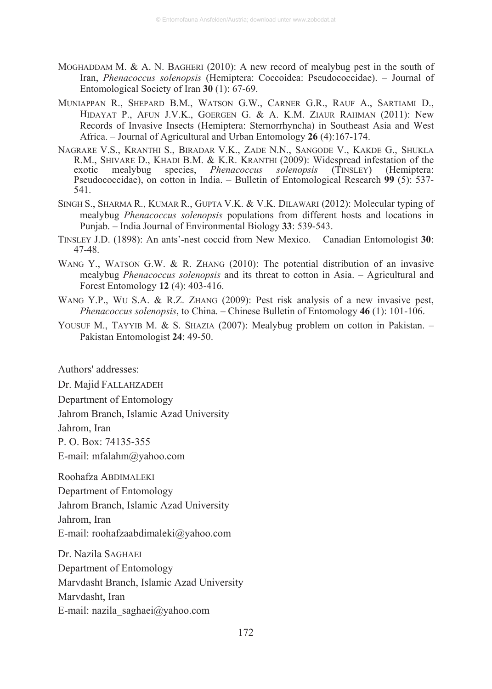- MOGHADDAM M. & A. N. BAGHERI (2010): A new record of mealybug pest in the south of Iran, *Phenacoccus solenopsis* (Hemiptera: Coccoidea: Pseudococcidae). – Journal of Entomological Society of Iran **30** (1): 67-69.
- MUNIAPPAN R., SHEPARD B.M., WATSON G.W., CARNER G.R., RAUF A., SARTIAMI D., HIDAYAT P., AFUN J.V.K., GOERGEN G. & A. K.M. ZIAUR RAHMAN (2011): New Records of Invasive Insects (Hemiptera: Sternorrhyncha) in Southeast Asia and West Africa. – Journal of Agricultural and Urban Entomology **26** (4):167-174.
- NAGRARE V.S., KRANTHI S., BIRADAR V.K., ZADE N.N., SANGODE V., KAKDE G., SHUKLA R.M., SHIVARE D., KHADI B.M. & K.R. KRANTHI (2009): Widespread infestation of the exotic mealybug species. *Phenacoccus solenopsis* (TINSLEY) (Hemiptera: exotic mealybug species, *Phenacoccus solenopsis* (TINSLEY) (Hemiptera: Pseudococcidae), on cotton in India. – Bulletin of Entomological Research **99** (5): 537- 541.
- SINGH S., SHARMA R., KUMAR R., GUPTA V.K. & V.K. DILAWARI (2012): Molecular typing of mealybug *Phenacoccus solenopsis* populations from different hosts and locations in Punjab. – India Journal of Environmental Biology **33**: 539-543.
- TINSLEY J.D. (1898): An ants'-nest coccid from New Mexico. Canadian Entomologist **30**: 47-48.
- WANG Y., WATSON G.W. & R. ZHANG (2010): The potential distribution of an invasive mealybug *Phenacoccus solenopsis* and its threat to cotton in Asia. – Agricultural and Forest Entomology **12** (4): 403-416.
- WANG Y.P., WU S.A. & R.Z. ZHANG (2009): Pest risk analysis of a new invasive pest, *Phenacoccus solenopsis*, to China. – Chinese Bulletin of Entomology **46** (1): 101-106.
- YOUSUF M., TAYYIB M. & S. SHAZIA (2007): Mealybug problem on cotton in Pakistan. Pakistan Entomologist **24**: 49-50.

Authors' addresses:

Dr. Majid FALLAHZADEH

Department of Entomology

Jahrom Branch, Islamic Azad University

Jahrom, Iran

P. O. Box: 74135-355

E-mail: mfalahm@yahoo.com

Roohafza ABDIMALEKI

Department of Entomology

Jahrom Branch, Islamic Azad University

Jahrom, Iran

E-mail: roohafzaabdimaleki@yahoo.com

Dr. Nazila SAGHAEI Department of Entomology Marvdasht Branch, Islamic Azad University Marvdasht, Iran E-mail: nazila\_saghaei@yahoo.com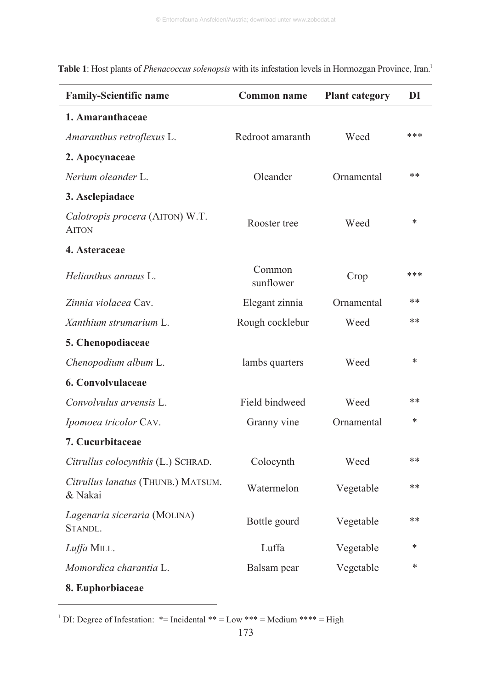| <b>Family-Scientific name</b>                   | <b>Common name</b>  | <b>Plant category</b> | DI     |
|-------------------------------------------------|---------------------|-----------------------|--------|
| 1. Amaranthaceae                                |                     |                       |        |
| Amaranthus retroflexus L.                       | Redroot amaranth    | Weed                  | ***    |
| 2. Apocynaceae                                  |                     |                       |        |
| Nerium oleander L.                              | Oleander            | Ornamental            | **     |
| 3. Asclepiadace                                 |                     |                       |        |
| Calotropis procera (AITON) W.T.<br><b>AITON</b> | Rooster tree        | Weed                  | $\ast$ |
| 4. Asteraceae                                   |                     |                       |        |
| Helianthus annuus L.                            | Common<br>sunflower | Crop                  | ***    |
| Zinnia violacea Cav.                            | Elegant zinnia      | Ornamental            | $**$   |
| Xanthium strumarium L.                          | Rough cocklebur     | Weed                  | **     |
| 5. Chenopodiaceae                               |                     |                       |        |
| Chenopodium album L.                            | lambs quarters      | Weed                  | *      |
| 6. Convolvulaceae                               |                     |                       |        |
| Convolvulus arvensis L.                         | Field bindweed      | Weed                  | **     |
| Ipomoea tricolor CAV.                           | Granny vine         | Ornamental            | *      |
| 7. Cucurbitaceae                                |                     |                       |        |
| Citrullus colocynthis (L.) SCHRAD.              | Colocynth           | Weed                  | $***$  |
| Citrullus lanatus (THUNB.) MATSUM.<br>& Nakai   | Watermelon          | Vegetable             | $***$  |
| Lagenaria siceraria (MOLINA)<br>STANDL.         | Bottle gourd        | Vegetable             | **     |
| Luffa MILL.                                     | Luffa               | Vegetable             | *      |
| Momordica charantia L.                          | Balsam pear         | Vegetable             | $\ast$ |
| 8. Euphorbiaceae                                |                     |                       |        |

**Table 1**: Host plants of *Phenacoccus solenopsis* with its infestation levels in Hormozgan Province, Iran.1

 $\overline{a}$ 

<sup>&</sup>lt;sup>1</sup> DI: Degree of Infestation:  $*$ = Incidental  $**$  = Low  $***$  = Medium  $***$  = High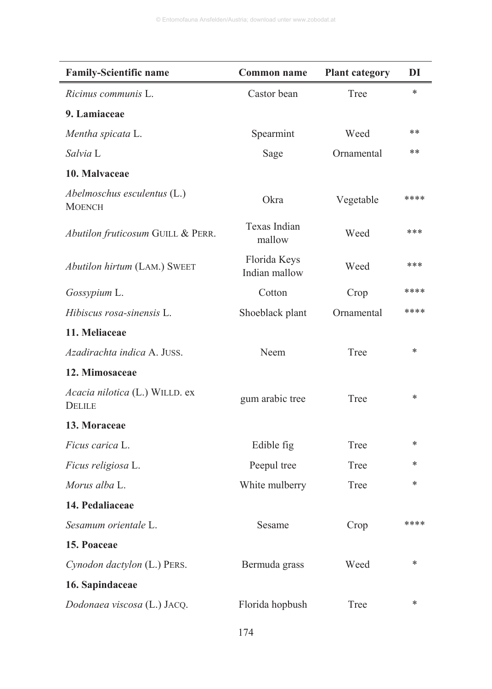| <b>Family-Scientific name</b>                   | <b>Common name</b>            | <b>Plant category</b> | DI     |
|-------------------------------------------------|-------------------------------|-----------------------|--------|
| Ricinus communis L.                             | Castor bean                   | Tree                  | $\ast$ |
| 9. Lamiaceae                                    |                               |                       |        |
| Mentha spicata L.                               | Spearmint                     | Weed                  | **     |
| Salvia L                                        | Sage                          | Ornamental            | **     |
| 10. Malvaceae                                   |                               |                       |        |
| Abelmoschus esculentus (L.)<br><b>MOENCH</b>    | Okra                          | Vegetable             | ****   |
| Abutilon fruticosum GUILL & PERR.               | Texas Indian<br>mallow        | Weed                  | ***    |
| Abutilon hirtum (LAM.) SWEET                    | Florida Keys<br>Indian mallow | Weed                  | ***    |
| Gossypium L.                                    | Cotton                        | Crop                  | ****   |
| Hibiscus rosa-sinensis L.                       | Shoeblack plant               | Ornamental            | ****   |
| 11. Meliaceae                                   |                               |                       |        |
| Azadirachta indica A. JUSS.                     | Neem                          | Tree                  | $\ast$ |
| 12. Mimosaceae                                  |                               |                       |        |
| Acacia nilotica (L.) WILLD. ex<br><b>DELILE</b> | gum arabic tree               | Tree                  | *      |
| 13. Moraceae                                    |                               |                       |        |
| Ficus carica L.                                 | Edible fig                    | Tree                  | *      |
| Ficus religiosa L.                              | Peepul tree                   | Tree                  | $\ast$ |
| Morus alba L.                                   | White mulberry                | Tree                  | *      |
| 14. Pedaliaceae                                 |                               |                       |        |
| Sesamum orientale L.                            | Sesame                        | Crop                  | ****   |
| 15. Poaceae                                     |                               |                       |        |
| Cynodon dactylon (L.) PERS.                     | Bermuda grass                 | Weed                  | $\ast$ |
| 16. Sapindaceae                                 |                               |                       |        |
| Dodonaea viscosa (L.) JACQ.                     | Florida hopbush               | Tree                  | *      |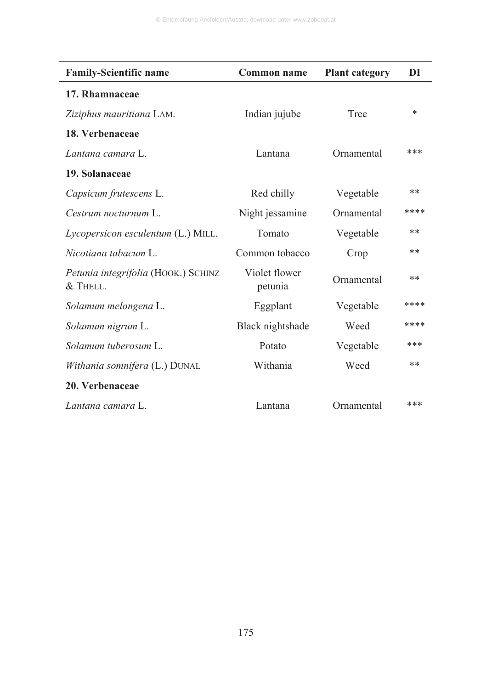| <b>Family-Scientific name</b>                     | Common name              | <b>Plant category</b> | DI   |
|---------------------------------------------------|--------------------------|-----------------------|------|
| 17. Rhamnaceae                                    |                          |                       |      |
| Ziziphus mauritiana LAM.                          | Indian jujube            | Tree                  | *    |
| 18. Verbenaceae                                   |                          |                       |      |
| Lantana camara L.                                 | Lantana                  | Ornamental            | ***  |
| 19. Solanaceae                                    |                          |                       |      |
| Capsicum frutescens L.                            | Red chilly               | Vegetable             | **   |
| Cestrum nocturnum L.                              | Night jessamine          | Ornamental            | **** |
| Lycopersicon esculentum (L.) MILL.                | Tomato                   | Vegetable             | **   |
| Nicotiana tabacum L.                              | Common tobacco           | Crop                  | **   |
| Petunia integrifolia (HOOK.) SCHINZ<br>$&$ THELL. | Violet flower<br>petunia | Ornamental            | **   |
| Solamum melongena L.                              | Eggplant                 | Vegetable             | **** |
| Solamum nigrum L.                                 | Black nightshade         | Weed                  | **** |
| Solamum tuberosum L.                              | Potato                   | Vegetable             | ***  |
| Withania somnifera (L.) DUNAL                     | Withania                 | Weed                  | **   |
| 20. Verbenaceae                                   |                          |                       |      |
| Lantana camara L.                                 | Lantana                  | Ornamental            | ***  |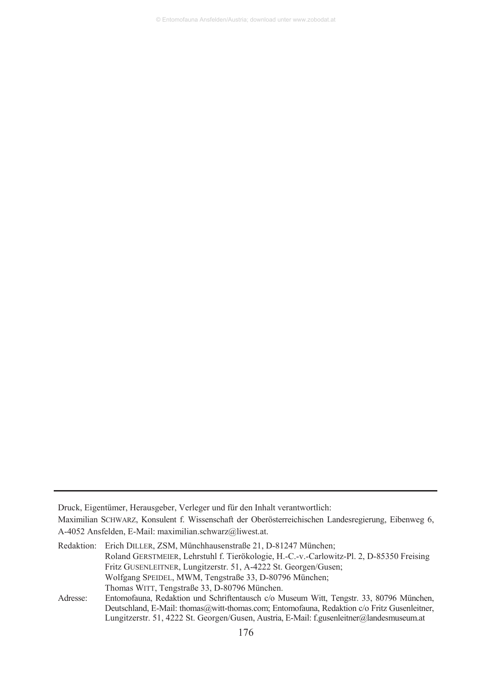© Entomofauna Ansfelden/Austria; download unter www.zobodat.at

Druck, Eigentümer, Herausgeber, Verleger und für den Inhalt verantwortlich:

Maximilian SCHWARZ, Konsulent f. Wissenschaft der Oberösterreichischen Landesregierung, Eibenweg 6, A-4052 Ansfelden, E-Mail: maximilian.schwarz@liwest.at.

|          | Redaktion: Erich DILLER, ZSM, Münchhausenstraße 21, D-81247 München;                     |
|----------|------------------------------------------------------------------------------------------|
|          | Roland GERSTMEIER, Lehrstuhl f. Tierökologie, H.-C.-v.-Carlowitz-Pl. 2, D-85350 Freising |
|          | Fritz GUSENLEITNER, Lungitzerstr. 51, A-4222 St. Georgen/Gusen;                          |
|          | Wolfgang SPEIDEL, MWM, Tengstraße 33, D-80796 München;                                   |
|          | Thomas WITT, Tengstraße 33, D-80796 München.                                             |
| Adresse: | Entomofauna, Redaktion und Schriftentausch c/o Museum Witt, Tengstr. 33, 80796 München.  |

Deutschland, E-Mail: thomas@witt-thomas.com; Entomofauna, Redaktion c/o Fritz Gusenleitner, Lungitzerstr. 51, 4222 St. Georgen/Gusen, Austria, E-Mail: f.gusenleitner@landesmuseum.at